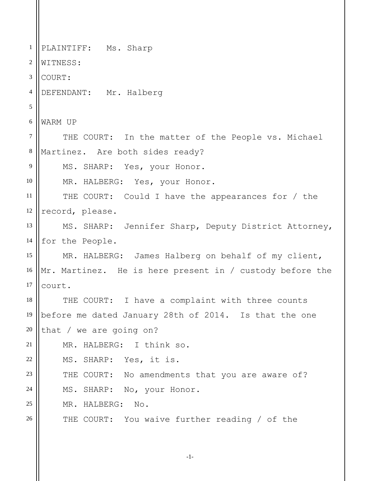1 2 3 4 5 6 7 8 9 10 11 12 13 14 15 16 17 18 19 20 21 22 23 24 25 26 PLAINTIFF: Ms. Sharp WITNESS: COURT: DEFENDANT: Mr. Halberg WARM UP THE COURT: In the matter of the People vs. Michael Martinez. Are both sides ready? MS. SHARP: Yes, your Honor. MR. HALBERG: Yes, your Honor. THE COURT: Could I have the appearances for / the record, please. MS. SHARP: Jennifer Sharp, Deputy District Attorney, for the People. MR. HALBERG: James Halberg on behalf of my client, Mr. Martinez. He is here present in / custody before the court. THE COURT: I have a complaint with three counts before me dated January 28th of 2014. Is that the one that / we are going on? MR. HALBERG: I think so. MS. SHARP: Yes, it is. THE COURT: No amendments that you are aware of? MS. SHARP: No, your Honor. MR. HALBERG: No. THE COURT: You waive further reading / of the

-1-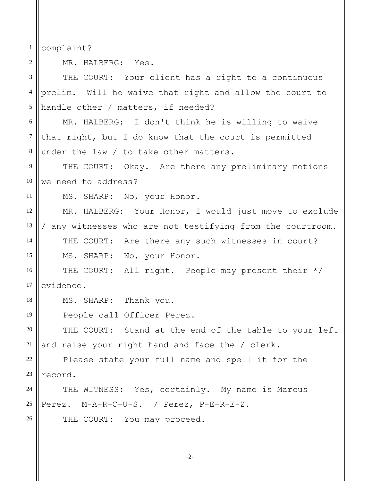1 complaint?

2

MR. HALBERG: Yes.

3 4 5 6 7 8 9 10 11 12 13 14 15 16 17 18 19 20 21 22 23 24 25 26 THE COURT: Your client has a right to a continuous prelim. Will he waive that right and allow the court to handle other / matters, if needed? MR. HALBERG: I don't think he is willing to waive that right, but I do know that the court is permitted under the law / to take other matters. THE COURT: Okay. Are there any preliminary motions we need to address? MS. SHARP: No, your Honor. MR. HALBERG: Your Honor, I would just move to exclude / any witnesses who are not testifying from the courtroom. THE COURT: Are there any such witnesses in court? MS. SHARP: No, your Honor. THE COURT: All right. People may present their \*/ evidence. MS. SHARP: Thank you. People call Officer Perez. THE COURT: Stand at the end of the table to your left and raise your right hand and face the / clerk. Please state your full name and spell it for the record. THE WITNESS: Yes, certainly. My name is Marcus Perez. M-A-R-C-U-S. / Perez, P-E-R-E-Z. THE COURT: You may proceed.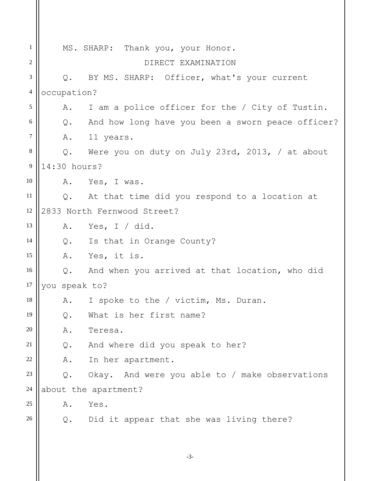| $\mathbf{1}$   | MS. SHARP: Thank you, your Honor.                          |  |
|----------------|------------------------------------------------------------|--|
| $\overline{c}$ | DIRECT EXAMINATION                                         |  |
| 3              | Q. BY MS. SHARP: Officer, what's your current              |  |
| $\overline{4}$ | occupation?                                                |  |
| 5              | I am a police officer for the / City of Tustin.<br>Α.      |  |
| 6              | And how long have you been a sworn peace officer?<br>$Q$ . |  |
| 7              | A. 11 years.                                               |  |
| $\,8\,$        | $Q$ .<br>Were you on duty on July 23rd, 2013, / at about   |  |
| $\overline{9}$ | 14:30 hours?                                               |  |
| 10             | Yes, I was.<br>Α.                                          |  |
| 11             | Q. At that time did you respond to a location at           |  |
| 12             | 2833 North Fernwood Street?                                |  |
| 13             | Yes, I / did.<br>Α.                                        |  |
| 14             | Q. Is that in Orange County?                               |  |
| 15             | Yes, it is.<br>A.                                          |  |
| 16             | Q. And when you arrived at that location, who did          |  |
| 17             | you speak to?                                              |  |
| 18             | I spoke to the / victim, Ms. Duran.<br>Α.                  |  |
| 19             | What is her first name?<br>$Q$ .                           |  |
| 20             | Teresa.<br>Α.                                              |  |
| 21             | And where did you speak to her?<br>$Q$ .                   |  |
| 22             | In her apartment.<br>Α.                                    |  |
| 23             | Okay. And were you able to / make observations<br>$Q$ .    |  |
| 24             | about the apartment?                                       |  |
| 25             | Yes.<br>Α.                                                 |  |
| 26             | Did it appear that she was living there?<br>Q.             |  |
|                |                                                            |  |
|                | $-3-$                                                      |  |
|                |                                                            |  |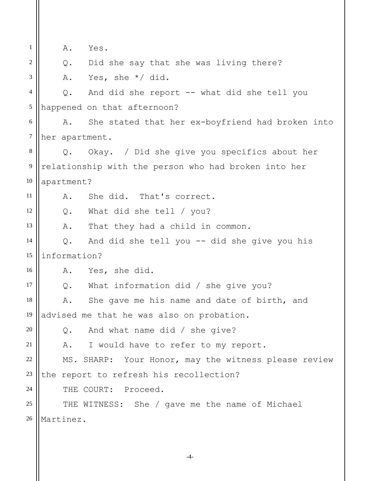1 2 3 4 5 6 7 8 9 10 11 12 13 14 15 16 17 18 19 20 21 22 23 24 25 26 A. Yes. Q. Did she say that she was living there? A. Yes, she \*/ did. Q. And did she report -- what did she tell you happened on that afternoon? A. She stated that her ex-boyfriend had broken into her apartment. Q. Okay. / Did she give you specifics about her relationship with the person who had broken into her apartment? A. She did. That's correct. Q. What did she tell / you? A. That they had a child in common. Q. And did she tell you -- did she give you his information? A. Yes, she did. Q. What information did / she give you? A. She gave me his name and date of birth, and advised me that he was also on probation. Q. And what name did / she give? A. I would have to refer to my report. MS. SHARP: Your Honor, may the witness please review the report to refresh his recollection? THE COURT: Proceed. THE WITNESS: She / gave me the name of Michael Martinez.

-4-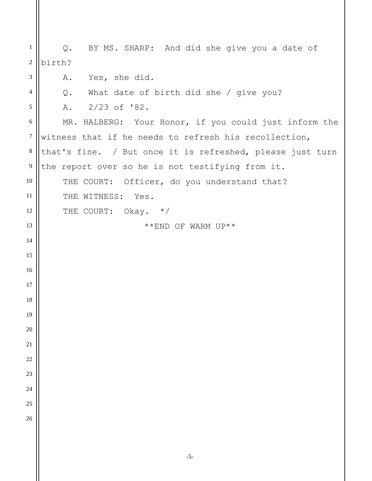Q. BY MS. SHARP: And did she give you a date of birth? A. Yes, she did.

Q. What date of birth did she / give you?

A. 2/23 of '82.

 MR. HALBERG: Your Honor, if you could just inform the witness that if he needs to refresh his recollection, that's fine. / But once it is refreshed, please just turn the report over so he is not testifying from it. THE COURT: Officer, do you understand that? THE WITNESS: Yes. THE COURT: Okay. \*/ \*\*END OF WARM UP\*\*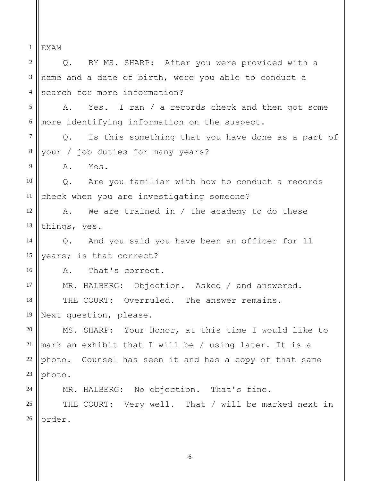1 EXAM

2 3 4 5 6 7 8 9 10 11 12 13 14 15 16 17 18 19 20 21 22 23 24 25 26 Q. BY MS. SHARP: After you were provided with a name and a date of birth, were you able to conduct a search for more information? A. Yes. I ran / a records check and then got some more identifying information on the suspect. Q. Is this something that you have done as a part of your / job duties for many years? A. Yes. Q. Are you familiar with how to conduct a records check when you are investigating someone? A. We are trained in / the academy to do these things, yes. Q. And you said you have been an officer for 11 years; is that correct? A. That's correct. MR. HALBERG: Objection. Asked / and answered. THE COURT: Overruled. The answer remains. Next question, please. MS. SHARP: Your Honor, at this time I would like to mark an exhibit that I will be / using later. It is a photo. Counsel has seen it and has a copy of that same photo. MR. HALBERG: No objection. That's fine. THE COURT: Very well. That / will be marked next in order.

-6-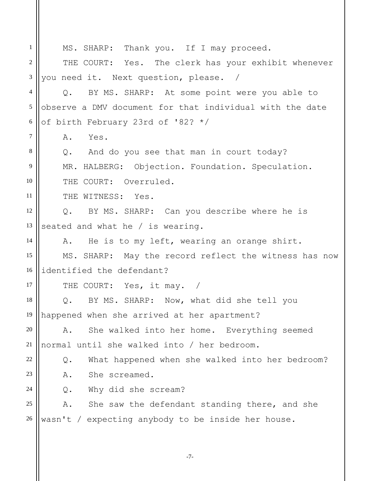1 2 3 4 5 6 7 8 9 10 11 12 13 14 15 16 17 18 19 20 21 22 23 24 25 26 MS. SHARP: Thank you. If I may proceed. THE COURT: Yes. The clerk has your exhibit whenever you need it. Next question, please. / Q. BY MS. SHARP: At some point were you able to observe a DMV document for that individual with the date of birth February 23rd of '82? \*/ A. Yes. Q. And do you see that man in court today? MR. HALBERG: Objection. Foundation. Speculation. THE COURT: Overruled. THE WITNESS: Yes. Q. BY MS. SHARP: Can you describe where he is seated and what he / is wearing. A. He is to my left, wearing an orange shirt. MS. SHARP: May the record reflect the witness has now identified the defendant? THE COURT: Yes, it may. / Q. BY MS. SHARP: Now, what did she tell you happened when she arrived at her apartment? A. She walked into her home. Everything seemed normal until she walked into / her bedroom. Q. What happened when she walked into her bedroom? A. She screamed. Q. Why did she scream? A. She saw the defendant standing there, and she wasn't / expecting anybody to be inside her house.

-7-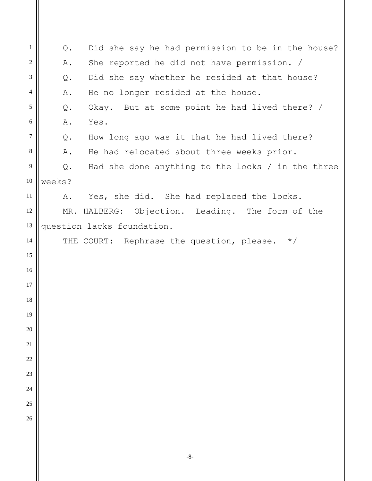| $\mathbf{1}$ | Q.     | Did she say he had permission to be in the house?     |
|--------------|--------|-------------------------------------------------------|
| $\sqrt{2}$   | Α.     | She reported he did not have permission. /            |
| 3            | Q.     | Did she say whether he resided at that house?         |
| 4            | Α.     | He no longer resided at the house.                    |
| 5            | Q.     | Okay. But at some point he had lived there? /         |
| $\sqrt{6}$   | Α.     | Yes.                                                  |
| 7            | Q.     | How long ago was it that he had lived there?          |
| $\,8\,$      | Α.     | He had relocated about three weeks prior.             |
| 9            | Q.     | Had she done anything to the locks / in the three     |
| 10           | weeks? |                                                       |
| 11           |        | A. Yes, she did. She had replaced the locks.          |
| 12           |        | MR. HALBERG: Objection. Leading. The form of the      |
| 13           |        | question lacks foundation.                            |
| 14           |        | THE COURT: Rephrase the question, please.<br>$\star/$ |
| 15           |        |                                                       |
| 16           |        |                                                       |
| 17           |        |                                                       |
| 18           |        |                                                       |
| 19           |        |                                                       |
| 20           |        |                                                       |
| 21           |        |                                                       |
| 22           |        |                                                       |
| 23           |        |                                                       |
| 24           |        |                                                       |
| 25           |        |                                                       |
| 26           |        |                                                       |
|              |        |                                                       |
|              |        |                                                       |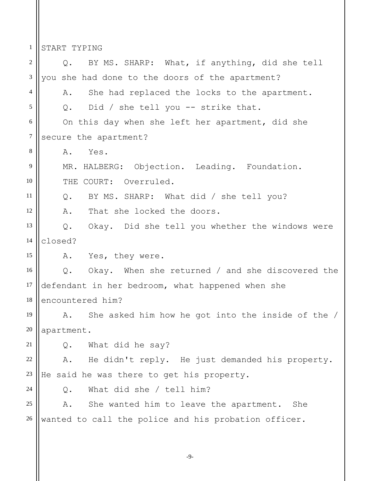1 START TYPING

2 3 4 5 6 7 8 9 10 11 12 13 14 15 16 17 18 19 20 21 22 23 24 25 26 Q. BY MS. SHARP: What, if anything, did she tell you she had done to the doors of the apartment? A. She had replaced the locks to the apartment. Q. Did / she tell you -- strike that. On this day when she left her apartment, did she secure the apartment? A. Yes. MR. HALBERG: Objection. Leading. Foundation. THE COURT: Overruled. Q. BY MS. SHARP: What did / she tell you? A. That she locked the doors. Q. Okay. Did she tell you whether the windows were closed? A. Yes, they were. Q. Okay. When she returned / and she discovered the defendant in her bedroom, what happened when she encountered him? A. She asked him how he got into the inside of the / apartment. Q. What did he say? A. He didn't reply. He just demanded his property. He said he was there to get his property. Q. What did she / tell him? A. She wanted him to leave the apartment. She wanted to call the police and his probation officer.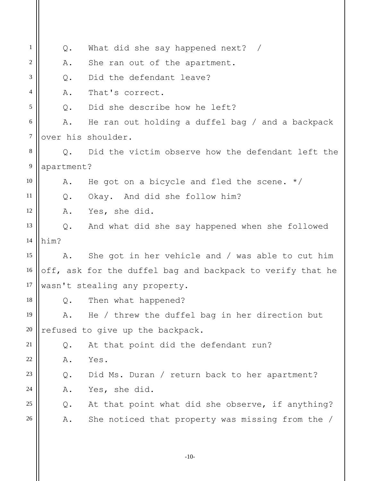| 1              | $Q$ .                            | What did she say happened next? /                          |  |
|----------------|----------------------------------|------------------------------------------------------------|--|
| 2              | Α.                               | She ran out of the apartment.                              |  |
| 3              | Q.                               | Did the defendant leave?                                   |  |
| $\overline{4}$ | Α.                               | That's correct.                                            |  |
| 5              | $Q$ .                            | Did she describe how he left?                              |  |
| 6              | Α.                               | He ran out holding a duffel bag / and a backpack           |  |
| 7              |                                  | over his shoulder.                                         |  |
| 8              | $\circ$ .                        | Did the victim observe how the defendant left the          |  |
| 9              | apartment?                       |                                                            |  |
| 10             | Α.                               | He got on a bicycle and fled the scene. $*/$               |  |
| 11             | Q.                               | Okay. And did she follow him?                              |  |
| 12             | Α.                               | Yes, she did.                                              |  |
| 13             |                                  | Q. And what did she say happened when she followed         |  |
| 14             | him?                             |                                                            |  |
| 15             | Α.                               | She got in her vehicle and / was able to cut him           |  |
| 16             |                                  | off, ask for the duffel bag and backpack to verify that he |  |
| 17             |                                  | wasn't stealing any property.                              |  |
| 18             | Q.                               | Then what happened?                                        |  |
| 19             | Α.                               | He / threw the duffel bag in her direction but             |  |
| 20             | refused to give up the backpack. |                                                            |  |
| 21             | $Q$ .                            | At that point did the defendant run?                       |  |
| 22             | Α.                               | Yes.                                                       |  |
| 23             | $Q$ .                            | Did Ms. Duran / return back to her apartment?              |  |
| 24             | Α.                               | Yes, she did.                                              |  |
| 25             | $Q$ .                            | At that point what did she observe, if anything?           |  |
| 26             | Α.                               | She noticed that property was missing from the /           |  |
|                |                                  |                                                            |  |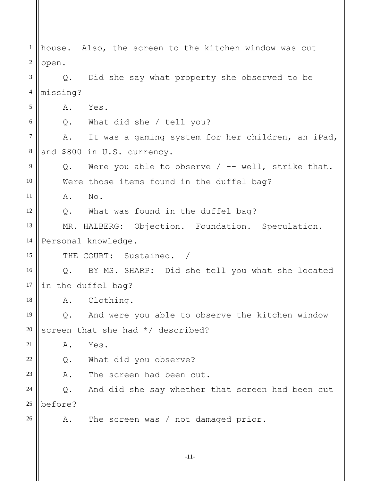-11- 1 2 3 4 5 6 7 8 9 10 11 12 13 14 15 16 17 18 19 20 21 22 23 24 25 26 house. Also, the screen to the kitchen window was cut open. Q. Did she say what property she observed to be missing? A. Yes. Q. What did she / tell you? A. It was a gaming system for her children, an iPad, and \$800 in U.S. currency. Q. Were you able to observe / -- well, strike that. Were those items found in the duffel bag? A. No. Q. What was found in the duffel bag? MR. HALBERG: Objection. Foundation. Speculation. Personal knowledge. THE COURT: Sustained. / Q. BY MS. SHARP: Did she tell you what she located in the duffel bag? A. Clothing. Q. And were you able to observe the kitchen window screen that she had \*/ described? A. Yes. Q. What did you observe? A. The screen had been cut. Q. And did she say whether that screen had been cut before? A. The screen was / not damaged prior.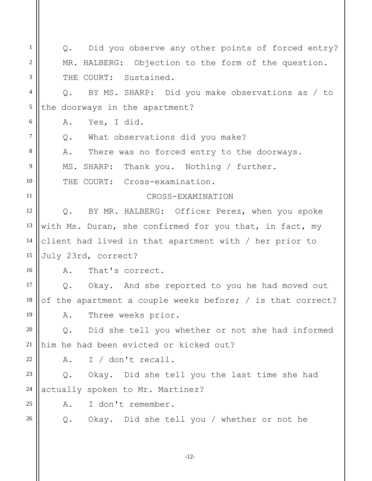1 2 3 4 5 6 7 8 9 10 11 12 13 14 15 16 17 18 19 20 21 22 23 24 25 26 Q. Did you observe any other points of forced entry? MR. HALBERG: Objection to the form of the question. THE COURT: Sustained. Q. BY MS. SHARP: Did you make observations as / to the doorways in the apartment? A. Yes, I did. Q. What observations did you make? A. There was no forced entry to the doorways. MS. SHARP: Thank you. Nothing / further. THE COURT: Cross-examination. CROSS-EXAMINATION Q. BY MR. HALBERG: Officer Perez, when you spoke with Ms. Duran, she confirmed for you that, in fact, my client had lived in that apartment with / her prior to July 23rd, correct? A. That's correct. Q. Okay. And she reported to you he had moved out of the apartment a couple weeks before; / is that correct? A. Three weeks prior. Q. Did she tell you whether or not she had informed him he had been evicted or kicked out? A. I / don't recall. Q. Okay. Did she tell you the last time she had actually spoken to Mr. Martinez? A. I don't remember. Q. Okay. Did she tell you / whether or not he

-12-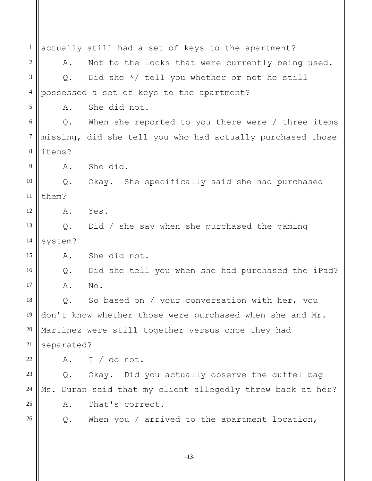1 2 3 4 5 6 7 8 9 10 11 12 13 14 15 16 17 18 19 20 21 22 23 24 25 26 actually still had a set of keys to the apartment? A. Not to the locks that were currently being used. Q. Did she \*/ tell you whether or not he still possessed a set of keys to the apartment? A. She did not. Q. When she reported to you there were / three items missing, did she tell you who had actually purchased those items? A. She did. Q. Okay. She specifically said she had purchased them? A. Yes. Q. Did / she say when she purchased the gaming system? A. She did not. Q. Did she tell you when she had purchased the iPad? A. No. Q. So based on / your conversation with her, you don't know whether those were purchased when she and Mr. Martinez were still together versus once they had separated? A. I / do not. Q. Okay. Did you actually observe the duffel bag Ms. Duran said that my client allegedly threw back at her? A. That's correct. Q. When you / arrived to the apartment location,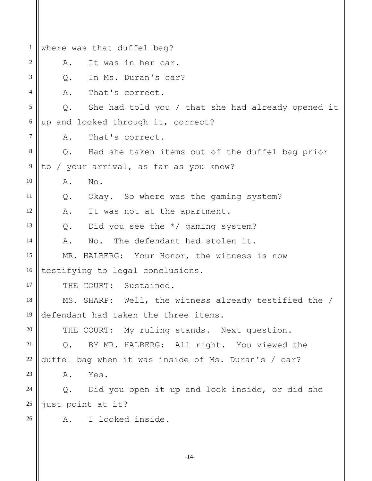1 2 3 4 5 6 7 8 9 10 11 12 13 14 15 16 17 18 19 20 21 22 23 24 25 26 where was that duffel bag? A. It was in her car. Q. In Ms. Duran's car? A. That's correct. Q. She had told you / that she had already opened it up and looked through it, correct? A. That's correct. Q. Had she taken items out of the duffel bag prior to / your arrival, as far as you know? A. No. Q. Okay. So where was the gaming system? A. It was not at the apartment. Q. Did you see the \*/ gaming system? A. No. The defendant had stolen it. MR. HALBERG: Your Honor, the witness is now testifying to legal conclusions. THE COURT: Sustained. MS. SHARP: Well, the witness already testified the / defendant had taken the three items. THE COURT: My ruling stands. Next question. Q. BY MR. HALBERG: All right. You viewed the duffel bag when it was inside of Ms. Duran's / car? A. Yes. Q. Did you open it up and look inside, or did she just point at it? A. I looked inside.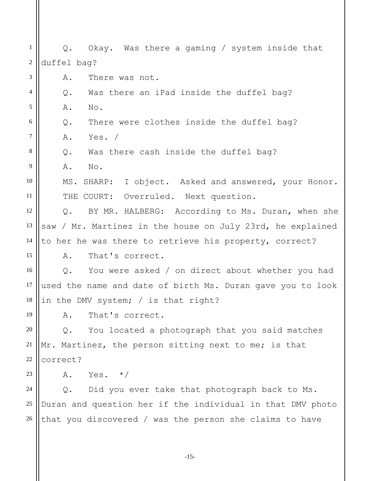1 2 3 4 5 6 7 8 9 10 11 12 13 14 15 16 17 18 19 20 21 22 23 24 25 26 Q. Okay. Was there a gaming / system inside that duffel bag? A. There was not. Q. Was there an iPad inside the duffel bag? A. No. Q. There were clothes inside the duffel bag? A. Yes. / Q. Was there cash inside the duffel bag? A. No. MS. SHARP: I object. Asked and answered, your Honor. THE COURT: Overruled. Next question. Q. BY MR. HALBERG: According to Ms. Duran, when she saw / Mr. Martinez in the house on July 23rd, he explained to her he was there to retrieve his property, correct? A. That's correct. Q. You were asked / on direct about whether you had used the name and date of birth Ms. Duran gave you to look in the DMV system; / is that right? A. That's correct. Q. You located a photograph that you said matches Mr. Martinez, the person sitting next to me; is that correct? A. Yes.  $\star/$ Q. Did you ever take that photograph back to Ms. Duran and question her if the individual in that DMV photo that you discovered / was the person she claims to have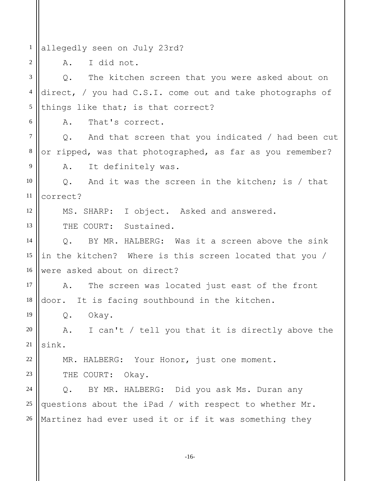1 allegedly seen on July 23rd?

A. I did not.

2

6

12

13

19

22

23

3 4 5 Q. The kitchen screen that you were asked about on direct, / you had C.S.I. come out and take photographs of things like that; is that correct?

A. That's correct.

7 8 9 Q. And that screen that you indicated / had been cut or ripped, was that photographed, as far as you remember? A. It definitely was.

10 11 Q. And it was the screen in the kitchen; is / that correct?

MS. SHARP: I object. Asked and answered.

THE COURT: Sustained.

14 15 16 Q. BY MR. HALBERG: Was it a screen above the sink in the kitchen? Where is this screen located that you / were asked about on direct?

17 18 A. The screen was located just east of the front door. It is facing southbound in the kitchen.

Q. Okay.

20 21 A. I can't / tell you that it is directly above the sink.

MR. HALBERG: Your Honor, just one moment.

THE COURT: Okay.

24 25 26 Q. BY MR. HALBERG: Did you ask Ms. Duran any questions about the iPad / with respect to whether Mr. Martinez had ever used it or if it was something they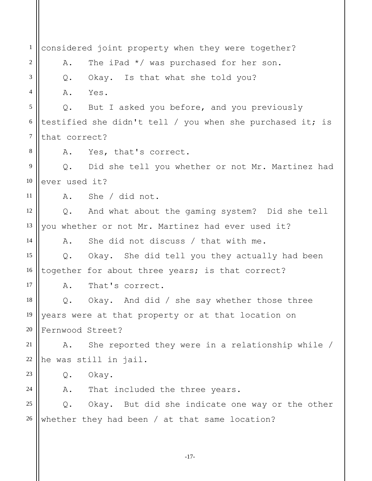1 2 3 4 5 6 7 8 9 10 11 12 13 14 15 16 17 18 19 20 21 22 23 24 25 26 considered joint property when they were together? A. The iPad \*/ was purchased for her son. Q. Okay. Is that what she told you? A. Yes. Q. But I asked you before, and you previously testified she didn't tell / you when she purchased it; is that correct? A. Yes, that's correct. Q. Did she tell you whether or not Mr. Martinez had ever used it? A. She / did not. Q. And what about the gaming system? Did she tell you whether or not Mr. Martinez had ever used it? A. She did not discuss / that with me. Q. Okay. She did tell you they actually had been together for about three years; is that correct? A. That's correct. Q. Okay. And did / she say whether those three years were at that property or at that location on Fernwood Street? A. She reported they were in a relationship while / he was still in jail. Q. Okay. A. That included the three years. Q. Okay. But did she indicate one way or the other whether they had been / at that same location?

-17-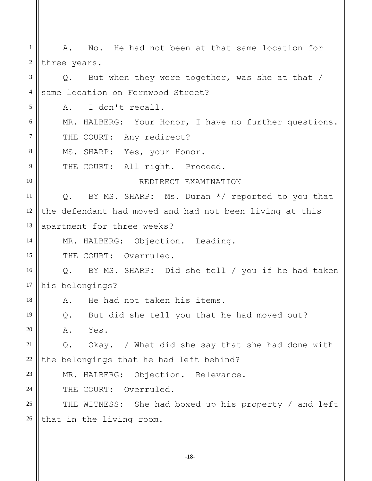1 2 3 4 5 6 7 8 9 10 11 12 13 14 15 16 17 18 19 20 21 22 23 24 25 26 A. No. He had not been at that same location for three years. Q. But when they were together, was she at that / same location on Fernwood Street? A. I don't recall. MR. HALBERG: Your Honor, I have no further questions. THE COURT: Any redirect? MS. SHARP: Yes, your Honor. THE COURT: All right. Proceed. REDIRECT EXAMINATION Q. BY MS. SHARP: Ms. Duran \*/ reported to you that the defendant had moved and had not been living at this apartment for three weeks? MR. HALBERG: Objection. Leading. THE COURT: Overruled. Q. BY MS. SHARP: Did she tell / you if he had taken his belongings? A. He had not taken his items. Q. But did she tell you that he had moved out? A. Yes. Q. Okay. / What did she say that she had done with the belongings that he had left behind? MR. HALBERG: Objection. Relevance. THE COURT: Overruled. THE WITNESS: She had boxed up his property / and left that in the living room.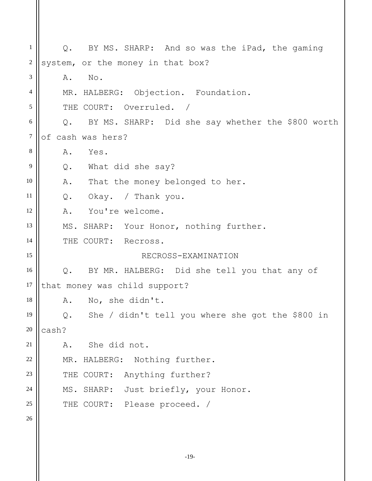1 2 3 4 5 6 7 8 9 10 11 12 13 14 15 16 17 18 19 20 21 22 23 24 25 26 Q. BY MS. SHARP: And so was the iPad, the gaming system, or the money in that box? A. No. MR. HALBERG: Objection. Foundation. THE COURT: Overruled. / Q. BY MS. SHARP: Did she say whether the \$800 worth of cash was hers? A. Yes. Q. What did she say? A. That the money belonged to her. Q. Okay. / Thank you. A. You're welcome. MS. SHARP: Your Honor, nothing further. THE COURT: Recross. RECROSS-EXAMINATION Q. BY MR. HALBERG: Did she tell you that any of that money was child support? A. No, she didn't. Q. She / didn't tell you where she got the \$800 in cash? A. She did not. MR. HALBERG: Nothing further. THE COURT: Anything further? MS. SHARP: Just briefly, your Honor. THE COURT: Please proceed. /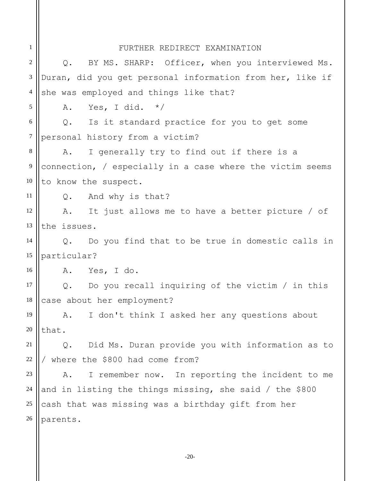## FURTHER REDIRECT EXAMINATION

1

| $\overline{2}$ | BY MS. SHARP: Officer, when you interviewed Ms.<br>$Q$ .    |
|----------------|-------------------------------------------------------------|
| 3              | Duran, did you get personal information from her, like if   |
| $\overline{4}$ | she was employed and things like that?                      |
| 5              | Yes, I did. $*/$<br>Α.                                      |
| 6              | Q. Is it standard practice for you to get some              |
| $\tau$         | personal history from a victim?                             |
| 8              | I generally try to find out if there is a<br>Α.             |
| $\overline{9}$ | connection, $/$ especially in a case where the victim seems |
| 10             | to know the suspect.                                        |
| 11             | Q. And why is that?                                         |
| 12             | A. It just allows me to have a better picture / of          |
| 13             | the issues.                                                 |
| 14             | Q. Do you find that to be true in domestic calls in         |
| 15             | particular?                                                 |
| 16             | A. Yes, I do.                                               |
| 17             | $Q.$ Do you recall inquiring of the victim / in this        |
| 18             | case about her employment?                                  |
| 19             | I don't think I asked her any questions about<br>Α.         |
| 20             | that.                                                       |
| 21             | Did Ms. Duran provide you with information as to<br>Q.      |
| 22             | where the \$800 had come from?                              |
| 23             | I remember now. In reporting the incident to me<br>Α.       |
| 24             | and in listing the things missing, she said / the \$800     |
| 25             | cash that was missing was a birthday gift from her          |
| 26             | parents.                                                    |

-20-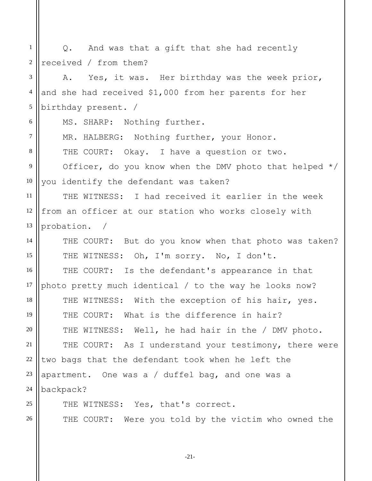1 2 3 4 5 6 7 8 9 10 11 12 13 14 15 16 17 18 19 20 21 22 23 24 25 26 Q. And was that a gift that she had recently received / from them? A. Yes, it was. Her birthday was the week prior, and she had received \$1,000 from her parents for her birthday present. / MS. SHARP: Nothing further. MR. HALBERG: Nothing further, your Honor. THE COURT: Okay. I have a question or two. Officer, do you know when the DMV photo that helped \*/ you identify the defendant was taken? THE WITNESS: I had received it earlier in the week from an officer at our station who works closely with probation. / THE COURT: But do you know when that photo was taken? THE WITNESS: Oh, I'm sorry. No, I don't. THE COURT: Is the defendant's appearance in that photo pretty much identical / to the way he looks now? THE WITNESS: With the exception of his hair, yes. THE COURT: What is the difference in hair? THE WITNESS: Well, he had hair in the / DMV photo. THE COURT: As I understand your testimony, there were two bags that the defendant took when he left the apartment. One was a / duffel bag, and one was a backpack? THE WITNESS: Yes, that's correct. THE COURT: Were you told by the victim who owned the

-21-